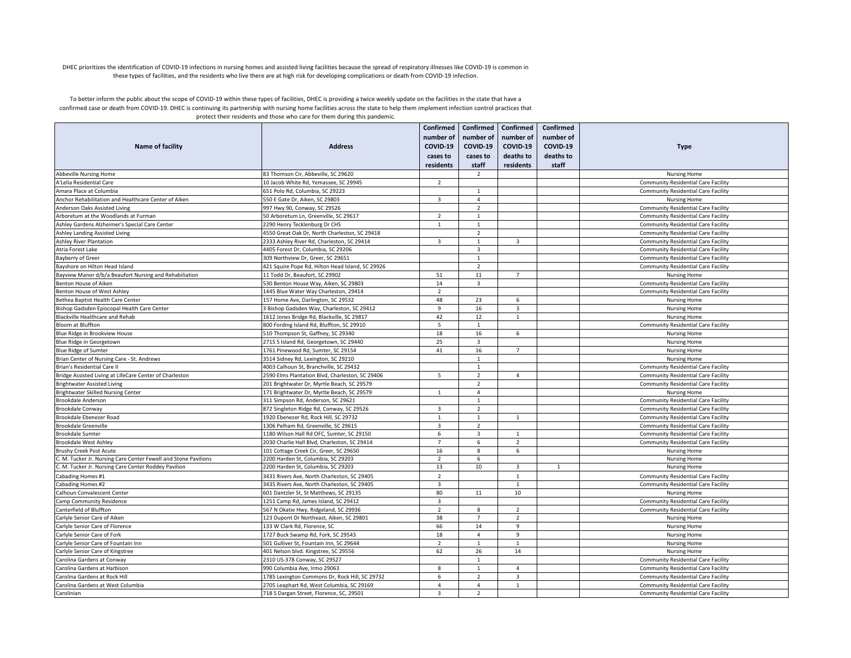## DHEC prioritizes the identification of COVID-19 infections in nursing homes and assisted living facilities because the spread of respiratory illnesses like COVID-19 is common in these types of facilities, and the residents who live there are at high risk for developing complications or death from COVID-19 infection.

To better inform the public about the scope of COVID-19 within these types of facilities, DHEC is providing a twice weekly update on the facilities in the state that have a confirmed case or death from COVID-19. DHEC is continuing its partnership with nursing home facilities across the state to help them implement infection control practices that protect their residents and those who care for them during this pandemic.

| <b>Name of facility</b>                                        | <b>Address</b>                                   | Confirmed<br>number of<br>COVID-19<br>cases to<br>residents | number of<br>COVID-19<br>cases to<br>staff | Confirmed   Confirmed<br>number of<br>COVID-19<br>deaths to<br>residents | Confirmed<br>number of<br>COVID-19<br>deaths to<br>staff | <b>Type</b>                                |
|----------------------------------------------------------------|--------------------------------------------------|-------------------------------------------------------------|--------------------------------------------|--------------------------------------------------------------------------|----------------------------------------------------------|--------------------------------------------|
| <b>Abbeville Nursing Home</b>                                  | 83 Thomson Cir, Abbeville, SC 29620              |                                                             | $\overline{2}$                             |                                                                          |                                                          | <b>Nursing Home</b>                        |
| A'Lelia Residential Care                                       | 10 Jacob White Rd. Yemassee. SC 29945            | $\overline{2}$                                              |                                            |                                                                          |                                                          | <b>Community Residential Care Facility</b> |
| Amara Place at Columbia                                        | 651 Polo Rd. Columbia, SC 29223                  |                                                             | $\mathbf{1}$                               |                                                                          |                                                          | <b>Community Residential Care Facility</b> |
| Anchor Rehabilitation and Healthcare Center of Aiken           | 550 E Gate Dr, Aiken, SC 29803                   | $\overline{3}$                                              | $\overline{4}$                             |                                                                          |                                                          | <b>Nursing Home</b>                        |
| Anderson Oaks Assisted Living                                  | 997 Hwy 90, Conway, SC 29526                     |                                                             | $\overline{2}$                             |                                                                          |                                                          | <b>Community Residential Care Facility</b> |
| Arboretum at the Woodlands at Furman                           | 50 Arboretum Ln, Greenville, SC 29617            | $\overline{2}$                                              | $\mathbf{1}$                               |                                                                          |                                                          | Community Residential Care Facility        |
| Ashley Gardens Alzheimer's Special Care Center                 | 2290 Henry Tecklenburg Dr CHS                    | $\mathbf{1}$                                                | $\mathbf{1}$                               |                                                                          |                                                          | <b>Community Residential Care Facility</b> |
| Ashley Landing Assisted Living                                 | 4550 Great Oak Dr, North Charleston, SC 29418    |                                                             | $\overline{2}$                             |                                                                          |                                                          | <b>Community Residential Care Facility</b> |
| <b>Ashley River Plantation</b>                                 | 2333 Ashley River Rd, Charleston, SC 29414       | $\overline{3}$                                              | $\mathbf{1}$                               | 3                                                                        |                                                          | <b>Community Residential Care Facility</b> |
| Atria Forest Lake                                              | 4405 Forest Dr, Columbia, SC 29206               |                                                             | $\overline{\mathbf{3}}$                    |                                                                          |                                                          | <b>Community Residential Care Facility</b> |
| <b>Bayberry of Greer</b>                                       | 309 Northview Dr, Greer, SC 29651                |                                                             | 1                                          |                                                                          |                                                          | <b>Community Residential Care Facility</b> |
| Bayshore on Hilton Head Island                                 | 421 Squire Pope Rd, Hilton Head Island, SC 29926 |                                                             | $\overline{2}$                             |                                                                          |                                                          | <b>Community Residential Care Facility</b> |
| Bayview Manor d/b/a Beaufort Nursing and Rehabiliation         | 11 Todd Dr, Beaufort, SC 29902                   | 51                                                          | 11                                         | $\overline{7}$                                                           |                                                          | <b>Nursing Home</b>                        |
| Benton House of Aiken                                          | 530 Benton House Way, Aiken, SC 29803            | 14                                                          | 3                                          |                                                                          |                                                          | Community Residential Care Facility        |
| Benton House of West Ashley                                    | 1445 Blue Water Way Charleston, 29414            | $\overline{2}$                                              |                                            |                                                                          |                                                          | <b>Community Residential Care Facility</b> |
| Bethea Baptist Health Care Center                              | 157 Home Ave, Darlington, SC 29532               | 48                                                          | 23                                         | 6                                                                        |                                                          |                                            |
|                                                                |                                                  |                                                             |                                            |                                                                          |                                                          | <b>Nursing Home</b>                        |
| Bishop Gadsden Episcopal Health Care Center                    | 3 Bishop Gadsden Way, Charleston, SC 29412       | 9                                                           | 16                                         | 3                                                                        |                                                          | <b>Nursing Home</b>                        |
| Blackville Healthcare and Rehab                                | 1612 Jones Bridge Rd, Blackville, SC 29817       | 42                                                          | 12                                         | $\mathbf{1}$                                                             |                                                          | <b>Nursing Home</b>                        |
| Bloom at Bluffton                                              | 800 Fording Island Rd, Bluffton, SC 29910        | 5                                                           | $\mathbf{1}$                               |                                                                          |                                                          | <b>Community Residential Care Facility</b> |
| Blue Ridge in Brookview House                                  | 510 Thompson St, Gaffney, SC 29340               | 18                                                          | 16                                         | 6                                                                        |                                                          | <b>Nursing Home</b>                        |
| Blue Ridge in Georgetown                                       | 2715 S Island Rd, Georgetown, SC 29440           | 25                                                          | $\overline{3}$                             |                                                                          |                                                          | <b>Nursing Home</b>                        |
| <b>Blue Ridge of Sumter</b>                                    | 1761 Pinewood Rd, Sumter, SC 29154               | 41                                                          | 16                                         | $\overline{7}$                                                           |                                                          | <b>Nursing Home</b>                        |
| Brian Center of Nursing Care - St. Andrews                     | 3514 Sidney Rd, Lexington, SC 29210              |                                                             | $\mathbf{1}$                               |                                                                          |                                                          | <b>Nursing Home</b>                        |
| Brian's Residential Care II                                    | 4003 Calhoun St, Branchville, SC 29432           |                                                             | $\overline{1}$                             |                                                                          |                                                          | Community Residential Care Facility        |
| Bridge Assisted Living at LifeCare Center of Charleston        | 2590 Elms Plantation Blvd, Charleston, SC 29406  | 5                                                           | 2                                          | $\overline{4}$                                                           |                                                          | <b>Community Residential Care Facility</b> |
| <b>Brightwater Assisted Living</b>                             | 201 Brightwater Dr, Myrtle Beach, SC 29579       |                                                             | $\overline{2}$                             |                                                                          |                                                          | <b>Community Residential Care Facility</b> |
| <b>Brightwater Skilled Nursing Center</b>                      | 171 Brightwater Dr, Myrtle Beach, SC 29579       | $\overline{1}$                                              | $\overline{4}$                             |                                                                          |                                                          | <b>Nursing Home</b>                        |
| Brookdale Anderson                                             | 311 Simpson Rd, Anderson, SC 29621               |                                                             | $\mathbf{1}$                               |                                                                          |                                                          | <b>Community Residential Care Facility</b> |
| Brookdale Conway                                               | 872 Singleton Ridge Rd, Conway, SC 29526         | $\overline{\mathbf{3}}$                                     | $\overline{2}$                             |                                                                          |                                                          | Community Residential Care Facility        |
| Brookdale Ebenezer Road                                        | 1920 Ebenezer Rd, Rock Hill, SC 29732            | $\overline{1}$                                              | $\overline{1}$                             | $\overline{1}$                                                           |                                                          | <b>Community Residential Care Facility</b> |
| <b>Brookdale Greenville</b>                                    | 1306 Pelham Rd, Greenville, SC 29615             | $\overline{\mathbf{3}}$                                     | 2                                          |                                                                          |                                                          | Community Residential Care Facility        |
| <b>Brookdale Sumter</b>                                        | 1180 Wilson Hall Rd OFC, Sumter, SC 29150        | 6                                                           | $\overline{\mathbf{3}}$                    | 1                                                                        |                                                          | <b>Community Residential Care Facility</b> |
| <b>Brookdale West Ashley</b>                                   | 2030 Charlie Hall Blvd, Charleston, SC 29414     | $\overline{7}$                                              | 6                                          | $\overline{2}$                                                           |                                                          | Community Residential Care Facility        |
| <b>Brushy Creek Post Acute</b>                                 | 101 Cottage Creek Cir, Greer, SC 29650           | 16                                                          | 8                                          | 6                                                                        |                                                          | <b>Nursing Home</b>                        |
| . M. Tucker Jr. Nursing Care Center Fewell and Stone Pavilions | 2200 Harden St, Columbia, SC 29203               | $\overline{2}$                                              | 6                                          |                                                                          |                                                          | <b>Nursing Home</b>                        |
| C. M. Tucker Jr. Nursing Care Center Roddey Pavilion           | 2200 Harden St, Columbia, SC 29203               | 13                                                          | 10                                         | $\overline{\mathbf{3}}$                                                  | 1                                                        | <b>Nursing Home</b>                        |
| Cabading Homes #1                                              | 3431 Rivers Ave, North Charleston, SC 29405      | $\overline{2}$                                              |                                            | 1                                                                        |                                                          | <b>Community Residential Care Facility</b> |
| Cabading Homes #2                                              | 3435 Rivers Ave, North Charleston, SC 29405      | $\overline{\mathbf{3}}$                                     |                                            | $\mathbf{1}$                                                             |                                                          | Community Residential Care Facility        |
| Calhoun Convalescent Center                                    | 601 Dantzler St, St Matthews, SC 29135           | 80                                                          | 11                                         | 10                                                                       |                                                          | <b>Nursing Home</b>                        |
| Camp Community Residence                                       | 1251 Camp Rd, James Island, SC 29412             | $\overline{\mathbf{3}}$                                     |                                            |                                                                          |                                                          | Community Residential Care Facility        |
| Canterfield of Bluffton                                        | 567 N Okatie Hwy, Ridgeland, SC 29936            | $\overline{2}$                                              | 8                                          | $\overline{2}$                                                           |                                                          | <b>Community Residential Care Facility</b> |
| Carlyle Senior Care of Aiken                                   | 123 Dupont Dr Northeast, Aiken, SC 29801         | 38                                                          | $\overline{7}$                             | $\overline{2}$                                                           |                                                          | <b>Nursing Home</b>                        |
| Carlyle Senior Care of Florence                                | 133 W Clark Rd, Florence, SC                     | 66                                                          | 14                                         | 9                                                                        |                                                          | <b>Nursing Home</b>                        |
| Carlyle Senior Care of Fork                                    | 1727 Buck Swamp Rd, Fork, SC 29543               | 18                                                          | $\overline{4}$                             | 9                                                                        |                                                          | <b>Nursing Home</b>                        |
| Carlyle Senior Care of Fountain Inn                            | 501 Gulliver St, Fountain Inn, SC 29644          | $\overline{2}$                                              | $\mathbf{1}$                               | $\overline{1}$                                                           |                                                          | <b>Nursing Home</b>                        |
| Carlyle Senior Care of Kingstree                               | 401 Nelson blvd. Kingstree, SC 29556             | 62                                                          | 26                                         | 14                                                                       |                                                          | <b>Nursing Home</b>                        |
| Carolina Gardens at Conway                                     | 2310 US-378 Conway, SC 29527                     |                                                             | 1                                          |                                                                          |                                                          | <b>Community Residential Care Facility</b> |
|                                                                | 990 Columbia Ave, Irmo 29063                     | 8                                                           | $\mathbf{1}$                               | $\overline{a}$                                                           |                                                          |                                            |
| Carolina Gardens at Harbison                                   |                                                  |                                                             |                                            |                                                                          |                                                          | <b>Community Residential Care Facility</b> |
| Carolina Gardens at Rock Hill                                  | 1785 Lexington Commons Dr, Rock Hill, SC 29732   | 6<br>$\overline{4}$                                         | $\overline{2}$<br>$\overline{4}$           | 3                                                                        |                                                          | Community Residential Care Facility        |
| Carolina Gardens at West Columbia                              | 2705 Leaphart Rd, West Columbia, SC 29169        |                                                             |                                            | 1                                                                        |                                                          | <b>Community Residential Care Facility</b> |
| Carolinian                                                     | 718 S Dargan Street, Florence, SC, 29501         | $\overline{3}$                                              | $\overline{2}$                             |                                                                          |                                                          | <b>Community Residential Care Facility</b> |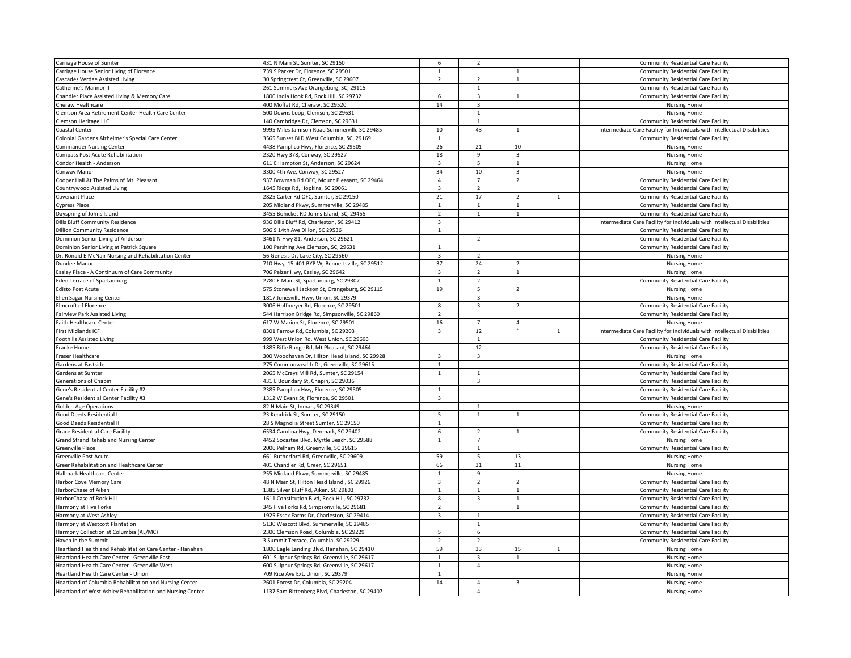| Carriage House of Sumter                                   | 431 N Main St, Sumter, SC 29150                | 6              | $\overline{2}$ |                         |              | <b>Community Residential Care Facility</b>                                |
|------------------------------------------------------------|------------------------------------------------|----------------|----------------|-------------------------|--------------|---------------------------------------------------------------------------|
| Carriage House Senior Living of Florence                   | 739 S Parker Dr, Florence, SC 29501            | $\mathbf{1}$   |                | 1                       |              | <b>Community Residential Care Facility</b>                                |
| Cascades Verdae Assisted Living                            | 30 Springcrest Ct, Greenville, SC 29607        | $\overline{2}$ | $\overline{2}$ | $\mathbf{1}$            |              | <b>Community Residential Care Facility</b>                                |
| Catherine's Mannor II                                      | 261 Summers Ave Orangeburg, SC, 29115          |                | $\mathbf{1}$   |                         |              | <b>Community Residential Care Facility</b>                                |
| Chandler Place Assisted Living & Memory Care               | 1800 India Hook Rd, Rock Hill, SC 29732        | 6              | $\overline{3}$ | $\mathbf{1}$            |              | <b>Community Residential Care Facility</b>                                |
| Cheraw Healthcare                                          | 400 Moffat Rd, Cheraw, SC 29520                | 14             | 3              |                         |              | Nursing Home                                                              |
| Clemson Area Retirement Center-Health Care Center          | 500 Downs Loop, Clemson, SC 29631              |                | $\overline{1}$ |                         |              | <b>Nursing Home</b>                                                       |
| Clemson Heritage LLC                                       | 140 Cambridge Dr, Clemson, SC 29631            |                | $\mathbf{1}$   |                         |              | <b>Community Residential Care Facility</b>                                |
| Coastal Center                                             | 9995 Miles Jamison Road Summerville SC 29485   | 10             | 43             | 1                       |              | Intermediate Care Facility for Individuals with Intellectual Disabilities |
| Colonial Gardens Alzheimer's Special Care Center           | 3565 Sunset BLD West Columbia, SC, 29169       | $\mathbf{1}$   |                |                         |              | <b>Community Residential Care Facility</b>                                |
| Commander Nursing Center                                   | 4438 Pamplico Hwy, Florence, SC 29505          | 26             | 21             | 10                      |              | <b>Nursing Home</b>                                                       |
| Compass Post Acute Rehabilitation                          | 2320 Hwy 378, Conway, SC 29527                 | 18             | 9              | 3                       |              | Nursing Home                                                              |
| Condor Health - Anderson                                   | 611 E Hampton St, Anderson, SC 29624           | $\overline{3}$ | $\overline{5}$ | $\overline{1}$          |              | Nursing Home                                                              |
| Conway Manor                                               | 3300 4th Ave, Conway, SC 29527                 | 34             | 10             | $\overline{\mathbf{3}}$ |              | <b>Nursing Home</b>                                                       |
| Cooper Hall At The Palms of Mt. Pleasant                   | 937 Bowman Rd OFC, Mount Pleasant, SC 29464    | $\overline{4}$ | $\overline{7}$ |                         |              |                                                                           |
|                                                            |                                                |                |                | $\overline{2}$          |              | <b>Community Residential Care Facility</b>                                |
| Countrywood Assisted Living                                | 1645 Ridge Rd, Hopkins, SC 29061               | $\overline{3}$ | $\overline{2}$ |                         |              | <b>Community Residential Care Facility</b>                                |
| Covenant Place                                             | 2825 Carter Rd OFC, Sumter, SC 29150           | 21             | 17             | $\overline{2}$          | $\mathbf{1}$ | <b>Community Residential Care Facility</b>                                |
| <b>Cypress Place</b>                                       | 205 Midland Pkwy, Summerville, SC 29485        | $\mathbf{1}$   | $\mathbf{1}$   | $\mathbf{1}$            |              | <b>Community Residential Care Facility</b>                                |
| Dayspring of Johns Island                                  | 3455 Bohicket RD Johns Island, SC, 29455       | $\overline{2}$ | $\overline{1}$ | $\mathbf{1}$            |              | <b>Community Residential Care Facility</b>                                |
| Dills Bluff Community Residence                            | 936 Dills Bluff Rd, Charleston, SC 29412       | $\overline{3}$ |                |                         |              | Intermediate Care Facility for Individuals with Intellectual Disabilities |
| <b>Dillion Community Residence</b>                         | 506 S 14th Ave Dillon, SC 29536                | $\mathbf{1}$   |                |                         |              | <b>Community Residential Care Facility</b>                                |
| Dominion Senior Living of Anderson                         | 3461 N Hwy 81, Anderson, SC 29621              |                | $\overline{z}$ |                         |              | <b>Community Residential Care Facility</b>                                |
| Dominion Senior Living at Patrick Square                   | 100 Pershing Ave Clemson, SC, 29631            | $\mathbf{1}$   |                |                         |              | <b>Community Residential Care Facility</b>                                |
| Dr. Ronald E McNair Nursing and Rehabilitation Center      | 56 Genesis Dr, Lake City, SC 29560             | 3              | $\overline{2}$ |                         |              | <b>Nursing Home</b>                                                       |
| Dundee Manor                                               | 710 Hwy, 15-401 BYP W, Bennettsville, SC 29512 | 37             | 24             | $\overline{2}$          |              | <b>Nursing Home</b>                                                       |
| Easley Place - A Continuum of Care Community               | 706 Pelzer Hwy, Easley, SC 29642               | $\overline{3}$ | $\overline{2}$ | $\mathbf{1}$            |              | <b>Nursing Home</b>                                                       |
| <b>Eden Terrace of Spartanburg</b>                         | 2780 E Main St, Spartanburg, SC 29307          | $\mathbf{1}$   | $\overline{2}$ |                         |              | <b>Community Residential Care Facility</b>                                |
| <b>Edisto Post Acute</b>                                   | 575 Stonewall Jackson St, Orangeburg, SC 29115 | 19             | 5              | $\overline{2}$          |              | <b>Nursing Home</b>                                                       |
| Ellen Sagar Nursing Center                                 | 1817 Jonesville Hwy, Union, SC 29379           |                | $\overline{3}$ |                         |              | <b>Nursing Home</b>                                                       |
| <b>Elmcroft of Florence</b>                                | 3006 Hoffmeyer Rd, Florence, SC 29501          | 8              | 3              | $\overline{2}$          |              | <b>Community Residential Care Facility</b>                                |
| Fairview Park Assisted Living                              | 544 Harrison Bridge Rd, Simpsonville, SC 29860 | $\overline{2}$ |                |                         |              | <b>Community Residential Care Facility</b>                                |
|                                                            |                                                |                | $\overline{7}$ | $\overline{4}$          |              |                                                                           |
| aith Healthcare Center                                     | 617 W Marion St, Florence, SC 29501            | 16             |                |                         |              | <b>Nursing Home</b>                                                       |
| First Midlands ICF                                         | 8301 Farrow Rd, Columbia, SC 29203             | 3              | 12             |                         | $\mathbf{1}$ | Intermediate Care Facility for Individuals with Intellectual Disabilities |
| <b>Foothills Assisted Living</b>                           | 999 West Union Rd, West Union, SC 29696        |                | $\mathbf{1}$   |                         |              | <b>Community Residential Care Facility</b>                                |
| Franke Home                                                | 1885 Rifle Range Rd, Mt Pleasant, SC 29464     |                | 12             |                         |              | <b>Community Residential Care Facility</b>                                |
| Fraser Healthcare                                          | 300 Woodhaven Dr, Hilton Head Island, SC 29928 | 3              | 3              |                         |              | <b>Nursing Home</b>                                                       |
| Gardens at Eastside                                        | 275 Commonwealth Dr, Greenville, SC 29615      | $\mathbf{1}$   |                |                         |              | <b>Community Residential Care Facility</b>                                |
| Gardens at Sumter                                          | 2065 McCrays Mill Rd, Sumter, SC 29154         | $\mathbf{1}$   | $\mathbf{1}$   |                         |              | <b>Community Residential Care Facility</b>                                |
| Generations of Chapin                                      | 431 E Boundary St, Chapin, SC 29036            |                | 3              |                         |              | <b>Community Residential Care Facility</b>                                |
| Gene's Residential Center Facility #2                      | 2385 Pamplico Hwy, Florence, SC 29505          | $\mathbf{1}$   |                |                         |              | <b>Community Residential Care Facility</b>                                |
| Gene's Residential Center Facility #3                      | 1312 W Evans St, Florence, SC 29501            | $\overline{3}$ |                |                         |              | <b>Community Residential Care Facility</b>                                |
| <b>Golden Age Operations</b>                               | 82 N Main St, Inman, SC 29349                  |                | $\mathbf{1}$   |                         |              | <b>Nursing Home</b>                                                       |
| Good Deeds Residential I                                   | 23 Kendrick St, Sumter, SC 29150               | 5              | $\mathbf{1}$   | $\mathbf{1}$            |              | <b>Community Residential Care Facility</b>                                |
| <b>Good Deeds Residential II</b>                           | 28 S Magnolia Street Sumter, SC 29150          | $\mathbf{1}$   |                |                         |              | <b>Community Residential Care Facility</b>                                |
| <b>Grace Residential Care Facility</b>                     | 6534 Carolina Hwy, Denmark, SC 29402           | 6              | $\overline{2}$ | $\mathbf{1}$            |              | <b>Community Residential Care Facility</b>                                |
| <b>Grand Strand Rehab and Nursing Center</b>               | 4452 Socastee Blvd, Myrtle Beach, SC 29588     | $\mathbf{1}$   | $\overline{7}$ |                         |              | <b>Nursing Home</b>                                                       |
| Greenville Place                                           | 2006 Pelham Rd, Greenville, SC 29615           |                | $\mathbf{1}$   |                         |              | <b>Community Residential Care Facility</b>                                |
| Greenville Post Acute                                      | 661 Rutherford Rd, Greenville, SC 29609        | 59             | 5              | 13                      |              | <b>Nursing Home</b>                                                       |
|                                                            |                                                |                | 31             | 11                      |              |                                                                           |
| Greer Rehabilitation and Healthcare Center                 | 401 Chandler Rd, Greer, SC 29651               | 66             |                |                         |              | <b>Nursing Home</b>                                                       |
| Hallmark Healthcare Center                                 | 255 Midland Pkwy, Summerville, SC 29485        | 1              | 9              |                         |              | <b>Nursing Home</b>                                                       |
| Harbor Cove Memory Care                                    | 48 N Main St, Hilton Head Island, SC 29926     | 3              | $\overline{2}$ | $\overline{2}$          |              | <b>Community Residential Care Facility</b>                                |
| HarborChase of Aiken                                       | 1385 Silver Bluff Rd, Aiken, SC 29803          | $\mathbf{1}$   | $\mathbf{1}$   | 1                       |              | <b>Community Residential Care Facility</b>                                |
| HarborChase of Rock Hill                                   | 1611 Constitution Blvd, Rock Hill, SC 29732    | 8              | $\overline{3}$ | $\mathbf{1}$            |              | <b>Community Residential Care Facility</b>                                |
| Harmony at Five Forks                                      | 345 Five Forks Rd, Simpsonville, SC 29681      | $\overline{2}$ |                | $\mathbf{1}$            |              | <b>Community Residential Care Facility</b>                                |
| Harmony at West Ashley                                     | 1925 Essex Farms Dr. Charleston, SC 29414      | $\overline{3}$ | $\mathbf{1}$   |                         |              | <b>Community Residential Care Facility</b>                                |
| Harmony at Westcott Plantation                             | 5130 Wescott Blvd, Summerville, SC 29485       |                |                |                         |              | <b>Community Residential Care Facility</b>                                |
| Harmony Collection at Columbia (AL/MC)                     | 2300 Clemson Road, Columbia, SC 29229          | 5              | 6              |                         |              | <b>Community Residential Care Facility</b>                                |
| Haven in the Summit                                        | 3 Summit Terrace, Columbia, SC 29229           | $\overline{2}$ | $\overline{2}$ |                         |              | <b>Community Residential Care Facility</b>                                |
| Heartland Health and Rehabilitation Care Center - Hanahan  | 1800 Eagle Landing Blvd, Hanahan, SC 29410     | 59             | 33             | 15                      | $\mathbf{1}$ | <b>Nursing Home</b>                                                       |
| Heartland Health Care Center - Greenville East             | 601 Sulphur Springs Rd, Greenville, SC 29617   | $\mathbf{1}$   | 3              | $\mathbf{1}$            |              | <b>Nursing Home</b>                                                       |
| Heartland Health Care Center - Greenville West             | 600 Sulphur Springs Rd, Greenville, SC 29617   | $\mathbf{1}$   | $\overline{4}$ |                         |              | <b>Nursing Home</b>                                                       |
| Heartland Health Care Center - Union                       | 709 Rice Ave Ext, Union, SC 29379              | $\mathbf{1}$   |                |                         |              | <b>Nursing Home</b>                                                       |
| Heartland of Columbia Rehabilitation and Nursing Center    | 2601 Forest Dr, Columbia, SC 29204             | 14             | $\overline{4}$ | 3                       |              | <b>Nursing Home</b>                                                       |
|                                                            |                                                |                |                |                         |              |                                                                           |
| Heartland of West Ashley Rehabilitation and Nursing Center | 1137 Sam Rittenberg Blvd, Charleston, SC 29407 |                | $\Delta$       |                         |              | <b>Nursing Home</b>                                                       |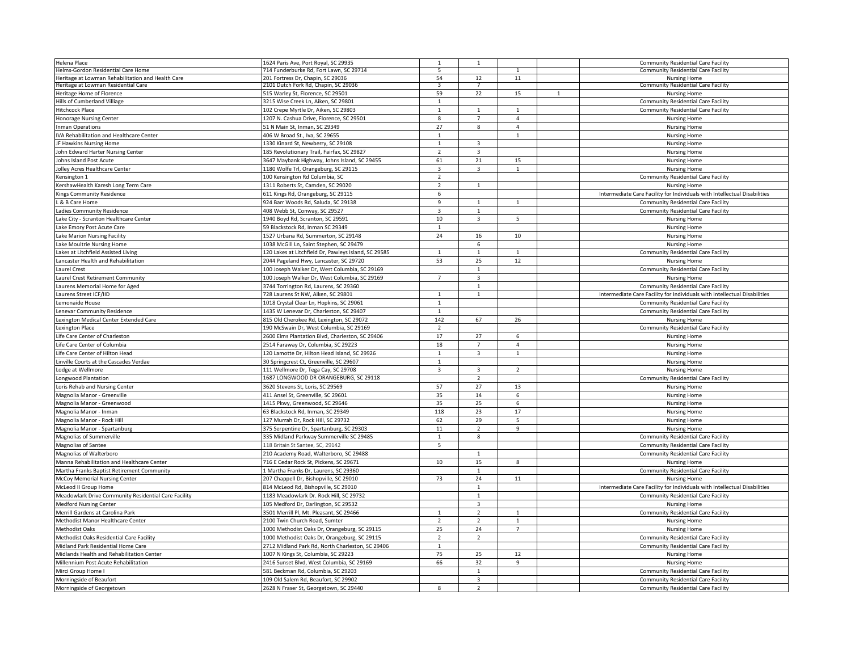| Helena Place                                         | 1624 Paris Ave, Port Royal, SC 29935                 |                          | $\mathbf{1}$            |                |              | <b>Community Residential Care Facility</b>                                |
|------------------------------------------------------|------------------------------------------------------|--------------------------|-------------------------|----------------|--------------|---------------------------------------------------------------------------|
| Helms-Gordon Residential Care Home                   | 714 Funderburke Rd, Fort Lawn, SC 29714              | 5                        |                         | $\mathbf{1}$   |              | <b>Community Residential Care Facility</b>                                |
| Heritage at Lowman Rehabilitation and Health Care    | 201 Fortress Dr, Chapin, SC 29036                    | 54                       | 12                      | 11             |              | <b>Nursing Home</b>                                                       |
| leritage at Lowman Residential Care                  | 2101 Dutch Fork Rd, Chapin, SC 29036                 | 3                        |                         |                |              | <b>Community Residential Care Facility</b>                                |
| Heritage Home of Florence                            | 515 Warley St, Florence, SC 29501                    | 59                       | 22                      | 15             | $\mathbf{1}$ | <b>Nursing Home</b>                                                       |
| Hills of Cumberland Villiage                         | 3215 Wise Creek Ln, Aiken, SC 29801                  | $\mathbf{1}$             |                         |                |              | <b>Community Residential Care Facility</b>                                |
| <b>Hitchcock Place</b>                               | 102 Crepe Myrtle Dr, Aiken, SC 29803                 | $\mathbf{1}$             | $\mathbf{1}$            | $\mathbf{1}$   |              | <b>Community Residential Care Facility</b>                                |
| Honorage Nursing Center                              | 1207 N. Cashua Drive, Florence, SC 29501             | 8                        | $\overline{7}$          | $\overline{4}$ |              | <b>Nursing Home</b>                                                       |
| nman Operations                                      | 51 N Main St, Inman, SC 29349                        | 27                       | 8                       | $\Delta$       |              | <b>Nursing Home</b>                                                       |
| IVA Rehabilitation and Healthcare Center             | 406 W Broad St., Iva, SC 29655                       | $\mathbf{1}$             |                         | $\mathbf{1}$   |              | <b>Nursing Home</b>                                                       |
| JF Hawkins Nursing Home                              | 1330 Kinard St, Newberry, SC 29108                   | $\mathbf{1}$             | $\overline{3}$          |                |              | <b>Nursing Home</b>                                                       |
| John Edward Harter Nursing Center                    | 185 Revolutionary Trail, Fairfax, SC 29827           | $\overline{2}$           | $\overline{3}$          |                |              | <b>Nursing Home</b>                                                       |
| Johns Island Post Acute                              | 3647 Maybank Highway, Johns Island, SC 29455         | 61                       | 21                      | 15             |              | Nursing Home                                                              |
| Jolley Acres Healthcare Center                       | 1180 Wolfe Trl, Orangeburg, SC 29115                 | 3                        | $\overline{3}$          | $\mathbf{1}$   |              | <b>Nursing Home</b>                                                       |
| Censington 1                                         | 100 Kensington Rd Columbia, SC                       | $\overline{2}$           |                         |                |              | <b>Community Residential Care Facility</b>                                |
| KershawHealth Karesh Long Term Care                  | 1311 Roberts St, Camden, SC 29020                    | $\overline{2}$           | $\mathbf{1}$            |                |              | Nursing Home                                                              |
| Kings Community Residence                            | 611 Kings Rd, Orangeburg, SC 29115                   | 6                        |                         |                |              | Intermediate Care Facility for Individuals with Intellectual Disabilities |
| & B Care Home                                        | 924 Barr Woods Rd, Saluda, SC 29138                  | $\overline{9}$           | $\mathbf{1}$            | $\mathbf{1}$   |              | Community Residential Care Facility                                       |
| Ladies Community Residence                           | 408 Webb St, Conway, SC 29527                        | 3                        | 1                       |                |              | <b>Community Residential Care Facility</b>                                |
| Lake City - Scranton Healthcare Center               | 1940 Boyd Rd, Scranton, SC 29591                     | 10                       | $\overline{3}$          | $5^{\circ}$    |              | <b>Nursing Home</b>                                                       |
| Lake Emory Post Acute Care                           | 59 Blackstock Rd, Inman SC 29349                     | $\mathbf{1}$             |                         |                |              | <b>Nursing Home</b>                                                       |
| Lake Marion Nursing Facility                         | 1527 Urbana Rd, Summerton, SC 29148                  | 24                       | 16                      | 10             |              | <b>Nursing Home</b>                                                       |
| Lake Moultrie Nursing Home                           | 1038 McGill Ln, Saint Stephen, SC 29479              |                          | 6                       |                |              | <b>Nursing Home</b>                                                       |
| Lakes at Litchfield Assisted Living                  | 120 Lakes at Litchfield Dr, Pawleys Island, SC 29585 | $\mathbf{1}$             | $\mathbf{1}$            | $\mathbf{1}$   |              | <b>Community Residential Care Facility</b>                                |
| Lancaster Health and Rehabilitation                  | 2044 Pageland Hwy, Lancaster, SC 29720               | 53                       | 25                      | 12             |              | <b>Nursing Home</b>                                                       |
| Laurel Crest                                         | 100 Joseph Walker Dr, West Columbia, SC 29169        |                          | $\overline{1}$          |                |              | <b>Community Residential Care Facility</b>                                |
| Laurel Crest Retirement Community                    | 100 Joseph Walker Dr, West Columbia, SC 29169        | $\overline{7}$           | $\overline{3}$          |                |              | <b>Nursing Home</b>                                                       |
| Laurens Memorial Home for Aged                       | 3744 Torrington Rd, Laurens, SC 29360                |                          | $\mathbf{1}$            |                |              | <b>Community Residential Care Facility</b>                                |
|                                                      | 728 Laurens St NW, Aiken, SC 29801                   | $\mathbf{1}$             | $\mathbf{1}$            |                |              |                                                                           |
| Laurens Street ICF/IID<br>Lemonaide House            |                                                      | $\mathbf{1}$             |                         |                |              | Intermediate Care Facility for Individuals with Intellectual Disabilities |
|                                                      | 1018 Crystal Clear Ln, Hopkins, SC 29061             |                          |                         |                |              | <b>Community Residential Care Facility</b>                                |
| Lenevar Community Residence                          | 1435 W Lenevar Dr, Charleston, SC 29407              | $\mathbf{1}$             |                         |                |              | <b>Community Residential Care Facility</b>                                |
| exington Medical Center Extended Care                | 815 Old Cherokee Rd, Lexington, SC 29072             | 142                      | 67                      | 26             |              | <b>Nursing Home</b>                                                       |
| Lexington Place                                      | 190 McSwain Dr, West Columbia, SC 29169              | $\overline{\phantom{0}}$ |                         |                |              | <b>Community Residential Care Facility</b>                                |
| Life Care Center of Charleston                       | 2600 Elms Plantation Blvd, Charleston, SC 29406      | 17                       | 27                      | 6              |              | <b>Nursing Home</b>                                                       |
| Life Care Center of Columbia                         | 2514 Faraway Dr, Columbia, SC 29223                  | 18                       | $\overline{7}$          | $\overline{4}$ |              | <b>Nursing Home</b>                                                       |
| Life Care Center of Hilton Head                      | 120 Lamotte Dr, Hilton Head Island, SC 29926         | $\mathbf{1}$             | $\overline{\mathbf{3}}$ | $\mathbf{1}$   |              | Nursing Home                                                              |
| Linville Courts at the Cascades Verdae               | 30 Springcrest Ct, Greenville, SC 29607              | $\mathbf{1}$             |                         |                |              | <b>Nursing Home</b>                                                       |
| Lodge at Wellmore                                    | 111 Wellmore Dr, Tega Cay, SC 29708                  | 3                        | $\overline{3}$          | $\overline{2}$ |              | <b>Nursing Home</b>                                                       |
| Longwood Plantation                                  | 1687 LONGWOOD DR ORANGEBURG, SC 29118                |                          | $\mathcal{P}$           |                |              | <b>Community Residential Care Facility</b>                                |
| Loris Rehab and Nursing Center                       | 3620 Stevens St, Loris, SC 29569                     | 57                       | 27                      | 13             |              | <b>Nursing Home</b>                                                       |
| Magnolia Manor - Greenville                          | 411 Ansel St, Greenville, SC 29601                   | 35                       | 14                      | 6              |              | <b>Nursing Home</b>                                                       |
| Magnolia Manor - Greenwood                           | 1415 Pkwy, Greenwood, SC 29646                       | 35                       | 25                      | 6              |              | <b>Nursing Home</b>                                                       |
| Magnolia Manor - Inman                               | 63 Blackstock Rd, Inman, SC 29349                    | 118                      | 23                      | 17             |              | <b>Nursing Home</b>                                                       |
| Magnolia Manor - Rock Hill                           | 127 Murrah Dr, Rock Hill, SC 29732                   | 62                       | 29                      | 5              |              | <b>Nursing Home</b>                                                       |
| Magnolia Manor - Spartanburg                         | 375 Serpentine Dr, Spartanburg, SC 29303             | 11                       | $\overline{2}$          | 9              |              | <b>Nursing Home</b>                                                       |
| Magnolias of Summerville                             | 335 Midland Parkway Summerville SC 29485             | $\mathbf{1}$             | 8                       |                |              | <b>Community Residential Care Facility</b>                                |
| <b>Magnolias of Santee</b>                           | 118 Britain St Santee, SC, 29142                     | 5                        |                         |                |              | <b>Community Residential Care Facility</b>                                |
| Magnolias of Walterboro                              | 210 Academy Road, Walterboro, SC 29488               |                          | 1                       |                |              | <b>Community Residential Care Facility</b>                                |
| Manna Rehabilitation and Healthcare Center           | 716 E Cedar Rock St, Pickens, SC 29671               | 10                       | 15                      | 8              |              | <b>Nursing Home</b>                                                       |
| Martha Franks Baptist Retirement Community           | L Martha Franks Dr, Laurens, SC 29360                |                          | 1                       |                |              | <b>Community Residential Care Facility</b>                                |
| McCoy Memorial Nursing Center                        | 207 Chappell Dr, Bishopville, SC 29010               | 73                       | 24                      | 11             |              | <b>Nursing Home</b>                                                       |
| McLeod II Group Home                                 | 814 McLeod Rd, Bishopville, SC 29010                 |                          | $\overline{1}$          |                |              | Intermediate Care Facility for Individuals with Intellectual Disabilities |
| Meadowlark Drive Community Residential Care Facility | 1183 Meadowlark Dr. Rock Hill, SC 29732              |                          | $\mathbf{1}$            |                |              | <b>Community Residential Care Facility</b>                                |
| <b>Medford Nursing Center</b>                        | 105 Medford Dr, Darlington, SC 29532                 |                          | 3                       |                |              | <b>Nursing Home</b>                                                       |
| Merrill Gardens at Carolina Park                     | 3501 Merrill Pl, Mt. Pleasant, SC 29466              | $\mathbf{1}$             | $\overline{2}$          | $\mathbf{1}$   |              | <b>Community Residential Care Facility</b>                                |
| Methodist Manor Healthcare Center                    | 2100 Twin Church Road, Sumter                        | $\overline{2}$           | $\overline{z}$          | $\mathbf{1}$   |              | Nursing Home                                                              |
| <b>Methodist Oaks</b>                                | 1000 Methodist Oaks Dr, Orangeburg, SC 29115         | 25                       | 24                      | $\overline{7}$ |              | <b>Nursing Home</b>                                                       |
|                                                      |                                                      |                          |                         |                |              |                                                                           |
| Methodist Oaks Residential Care Facility             | 1000 Methodist Oaks Dr, Orangeburg, SC 29115         | $\overline{2}$           | $\overline{2}$          |                |              | <b>Community Residential Care Facility</b>                                |
| Midland Park Residential Home Care                   | 2712 Midland Park Rd, North Charleston, SC 29406     | $\mathbf{1}$             |                         |                |              | <b>Community Residential Care Facility</b>                                |
| Midlands Health and Rehabilitation Center            | 1007 N Kings St, Columbia, SC 29223                  | 75                       | 25                      | 12             |              | <b>Nursing Home</b>                                                       |
| Millennium Post Acute Rehabilitation                 | 2416 Sunset Blvd, West Columbia, SC 29169            | 66                       | 32                      | 9              |              | <b>Nursing Home</b>                                                       |
| Mirci Group Home I                                   | 581 Beckman Rd, Columbia, SC 29203                   |                          | $\mathbf{1}$            |                |              | <b>Community Residential Care Facility</b>                                |
| Morningside of Beaufort                              | 109 Old Salem Rd, Beaufort, SC 29902                 |                          | $\overline{3}$          |                |              | <b>Community Residential Care Facility</b>                                |
| Morningside of Georgetown                            | 2628 N Fraser St, Georgetown, SC 29440               | $\mathbf{8}$             | $\mathcal{L}$           |                |              | <b>Community Residential Care Facility</b>                                |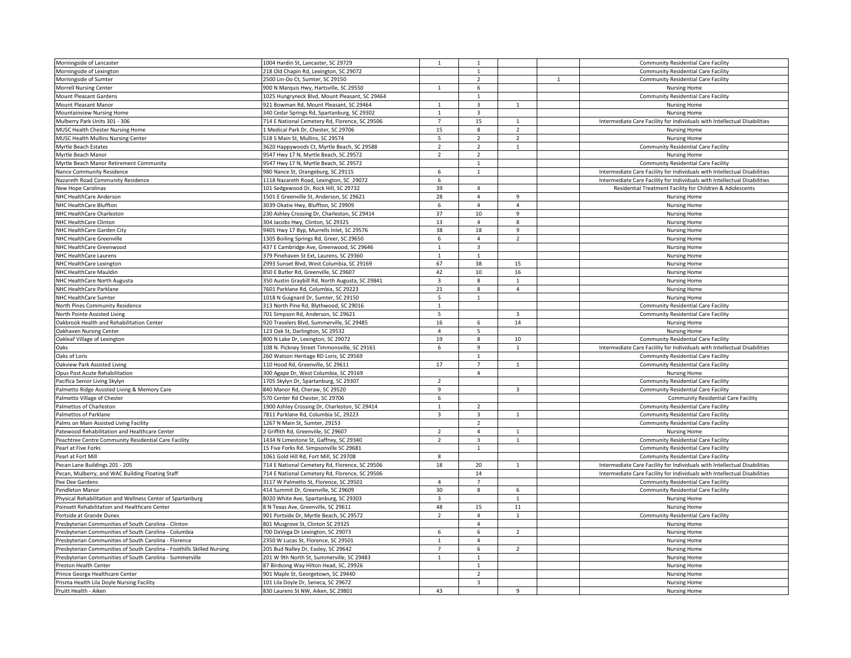| Morningside of Lancaster                                               | 1004 Hardin St, Lancaster, SC 29729             | $\mathbf 1$                    | $\overline{1}$ |                          |              | <b>Community Residential Care Facility</b>                                |
|------------------------------------------------------------------------|-------------------------------------------------|--------------------------------|----------------|--------------------------|--------------|---------------------------------------------------------------------------|
| Morningside of Lexington                                               | 218 Old Chapin Rd, Lexington, SC 29072          |                                | $\mathbf{1}$   |                          |              | <b>Community Residential Care Facility</b>                                |
| Morningside of Sumter                                                  | 2500 Lin-Do Ct, Sumter, SC 29150                |                                | $\overline{2}$ |                          | $\mathbf{1}$ | <b>Community Residential Care Facility</b>                                |
| Morrell Nursing Center                                                 | 900 N Marquis Hwy, Hartsville, SC 29550         | $\overline{1}$                 | 6              |                          |              | <b>Nursing Home</b>                                                       |
| Mount Pleasant Gardens                                                 | 1025 Hungryneck Blvd, Mount Pleasant, SC 29464  |                                | $\mathbf{1}$   |                          |              | <b>Community Residential Care Facility</b>                                |
| Mount Pleasant Manor                                                   | 921 Bowman Rd, Mount Pleasant, SC 29464         | $\mathbf{1}$                   | 3              | $\mathbf{1}$             |              | <b>Nursing Home</b>                                                       |
| Mountainview Nursing Home                                              | 340 Cedar Springs Rd, Spartanburg, SC 29302     | $\overline{1}$                 | $\overline{3}$ |                          |              | <b>Nursing Home</b>                                                       |
| Mulberry Park Units 301 - 306                                          | 714 E National Cemetery Rd, Florence, SC 29506  | $\overline{7}$                 | 15             | $\mathbf{1}$             |              | Intermediate Care Facility for Individuals with Intellectual Disabilities |
| MUSC Health Chester Nursing Home                                       | 1 Medical Park Dr, Chester, SC 29706            | 15                             | 8              | $\overline{2}$           |              | <b>Nursing Home</b>                                                       |
| MUSC Health Mullins Nursing Center                                     | 518 S Main St, Mullins, SC 29574                | 5                              | $\overline{2}$ | $\overline{2}$           |              | <b>Nursing Home</b>                                                       |
| Myrtle Beach Estates                                                   | 3620 Happywoods Ct, Myrtle Beach, SC 29588      | $\overline{2}$                 | $\overline{2}$ | $\mathbf{1}$             |              | <b>Community Residential Care Facility</b>                                |
| Myrtle Beach Manor                                                     | 9547 Hwy 17 N, Myrtle Beach, SC 29572           | $\overline{2}$                 | $\overline{2}$ |                          |              | <b>Nursing Home</b>                                                       |
| Myrtle Beach Manor Retirement Community                                | 9547 Hwy 17 N, Myrtle Beach, SC 29572           |                                | $\overline{1}$ |                          |              | <b>Community Residential Care Facility</b>                                |
| <b>Nance Community Residence</b>                                       | 980 Nance St, Orangeburg, SC 29115              | 6                              | $\mathbf{1}$   |                          |              | Intermediate Care Facility for Individuals with Intellectual Disabilities |
|                                                                        |                                                 |                                |                |                          |              |                                                                           |
| Nazareth Road Community Residence                                      | 1118 Nazareth Road, Lexington, SC 29072         | 6                              |                |                          |              | Intermediate Care Facility for Individuals with Intellectual Disabilities |
| New Hope Carolinas                                                     | 101 Sedgewood Dr, Rock Hill, SC 29732           | 39                             | $\overline{4}$ |                          |              | Residential Treatment Facility for Children & Adolescents                 |
| NHC HealthCare Anderson                                                | 1501 E Greenville St, Anderson, SC 29621        | 28                             | $\overline{4}$ | 9                        |              | Nursing Home                                                              |
| NHC HealthCare Bluffton                                                | 3039 Okatie Hwy, Bluffton, SC 29909             | 6                              | $\overline{4}$ | $\overline{4}$           |              | <b>Nursing Home</b>                                                       |
| NHC HealthCare Charleston                                              | 230 Ashley Crossing Dr, Charleston, SC 29414    | 37                             | 10             | $\overline{9}$           |              | <b>Nursing Home</b>                                                       |
| NHC HealthCare Clinton                                                 | 304 Jacobs Hwy, Clinton, SC 29325               | 13                             | 4              | 8                        |              | <b>Nursing Home</b>                                                       |
| NHC HealthCare Garden City                                             | 9405 Hwy 17 Byp, Murrells Inlet, SC 29576       | 38                             | 18             | 9                        |              | <b>Nursing Home</b>                                                       |
| NHC HealthCare Greenville                                              | 1305 Boiling Springs Rd, Greer, SC 29650        | 6                              | $\overline{4}$ | $\overline{2}$           |              | <b>Nursing Home</b>                                                       |
| NHC HealthCare Greenwood                                               | 437 E Cambridge Ave, Greenwood, SC 29646        | $\mathbf{1}$                   | $\overline{3}$ |                          |              | <b>Nursing Home</b>                                                       |
| NHC HealthCare Laurens                                                 | 379 Pinehaven St Ext, Laurens, SC 29360         | $\mathbf{1}$                   | $\mathbf{1}$   |                          |              | Nursing Home                                                              |
| NHC HealthCare Lexington                                               | 2993 Sunset Blvd, West Columbia, SC 29169       | 67                             | 38             | 15                       |              | <b>Nursing Home</b>                                                       |
| NHC HealthCare Mauldin                                                 | 850 E Butler Rd, Greenville, SC 29607           | 42                             | 10             | 16                       |              | <b>Nursing Home</b>                                                       |
| NHC HealthCare North Augusta                                           | 350 Austin Graybill Rd, North Augusta, SC 29841 | 3                              | 8              | $\mathbf{1}$             |              | <b>Nursing Home</b>                                                       |
| NHC HealthCare Parklane                                                | 7601 Parklane Rd, Columbia, SC 29223            | 21                             | 8              | $\overline{4}$           |              | <b>Nursing Home</b>                                                       |
| NHC HealthCare Sumter                                                  | 1018 N Guignard Dr, Sumter, SC 29150            | 5                              | $\mathbf{1}$   |                          |              | <b>Nursing Home</b>                                                       |
|                                                                        |                                                 |                                |                |                          |              |                                                                           |
| North Pines Community Residence                                        | 313 North Pine Rd, Blythwood, SC 29016          | $\mathbf{1}$<br>$\overline{5}$ |                | $\overline{3}$           |              | <b>Community Residential Care Facility</b>                                |
| North Pointe Assisted Living                                           | 701 Simpson Rd, Anderson, SC 29621              |                                |                |                          |              | <b>Community Residential Care Facility</b>                                |
| Dakbrook Health and Rehabilitation Center                              | 920 Travelers Blvd, Summerville, SC 29485       | 16                             | 6              | 14                       |              | <b>Nursing Home</b>                                                       |
| <b>Oakhaven Nursing Center</b>                                         | 123 Oak St, Darlington, SC 29532                | $\overline{4}$                 | 5              |                          |              | <b>Nursing Home</b>                                                       |
| Oakleaf Village of Lexington                                           | 800 N Lake Dr, Lexington, SC 29072              | 19                             | 8              | 10                       |              | Community Residential Care Facility                                       |
| Oaks                                                                   | 108 N. Pickney Street Timmonsville, SC 29161    | 6                              | 9              | $\mathbf{1}$             |              | Intermediate Care Facility for Individuals with Intellectual Disabilities |
| Oaks of Loris                                                          | 260 Watson Heritage RD Loris, SC 29569          |                                | $\mathbf{1}$   |                          |              | <b>Community Residential Care Facility</b>                                |
| Oakview Park Assisted Living                                           | 110 Hood Rd, Greenville, SC 29611               | 17                             | $\overline{7}$ | $\mathbf{1}$             |              | <b>Community Residential Care Facility</b>                                |
| Opus Post Acute Rehabilitation                                         | 300 Agape Dr, West Columbia, SC 29169           |                                | $\overline{4}$ |                          |              | <b>Nursing Home</b>                                                       |
| Pacifica Senior Living Skylyn                                          | 1705 Skylyn Dr, Spartanburg, SC 29307           | $\overline{2}$                 |                |                          |              | <b>Community Residential Care Facility</b>                                |
| Palmetto Ridge Assisted Living & Memory Care                           | 840 Manor Rd, Cheraw, SC 29520                  | $\mathbf{q}$                   |                | $\overline{3}$           |              | <b>Community Residential Care Facility</b>                                |
| Palmetto Village of Chester                                            | 570 Center Rd Chester, SC 29706                 | 6                              |                |                          |              | <b>Community Residential Care Facility</b>                                |
| Palmettos of Charleston                                                | 1900 Ashley Crossing Dr, Charleston, SC 29414   | $\mathbf{1}$                   | $\overline{2}$ |                          |              | <b>Community Residential Care Facility</b>                                |
| Palmettos of Parklane                                                  | 7811 Parklane Rd, Columbia SC, 29223            | $\overline{3}$                 | $\overline{3}$ | $\mathbf{1}$             |              | <b>Community Residential Care Facility</b>                                |
| Palms on Main Assisted Living Facility                                 | 1267 N Main St, Sumter, 29153                   |                                | $\overline{2}$ |                          |              | <b>Community Residential Care Facility</b>                                |
| Patewood Rehabilitation and Healthcare Center                          | 2 Griffith Rd, Greenville, SC 29607             | $\overline{2}$                 | 4              | 1                        |              | <b>Nursing Home</b>                                                       |
|                                                                        |                                                 | $\overline{2}$                 | $\overline{3}$ | $\mathbf{1}$             |              |                                                                           |
| Peachtree Centre Community Residential Care Facility                   | 1434 N Limestone St, Gaffney, SC 29340          |                                |                |                          |              | <b>Community Residential Care Facility</b>                                |
| Pearl at Five Forks                                                    | 15 Five Forks Rd. Simpsonville SC 29681         |                                | $\mathbf{1}$   |                          |              | <b>Community Residential Care Facility</b>                                |
| Pearl at Fort Mill                                                     | 1061 Gold Hill Rd, Fort Mill, SC 29708          | 8                              |                |                          |              | <b>Community Residential Care Facility</b>                                |
| Pecan Lane Buildings 201 - 205                                         | 714 E National Cemetery Rd, Florence, SC 29506  | 18                             | 20             | $\mathbf{1}$             |              | Intermediate Care Facility for Individuals with Intellectual Disabilities |
| Pecan, Mulberry, and WAC Building Floating Staff                       | 714 E National Cemetery Rd, Florence, SC 29506  |                                | 14             |                          |              | Intermediate Care Facility for Individuals with Intellectual Disabilities |
| Pee Dee Gardens                                                        | 3117 W Palmetto St, Florence, SC 29501          | $\overline{4}$                 | $\overline{7}$ |                          |              | <b>Community Residential Care Facility</b>                                |
| Pendleton Manor                                                        | 414 Summit Dr, Greenville, SC 29609             | 30                             | 8              | 6                        |              | <b>Community Residential Care Facility</b>                                |
| Physical Rehabilitation and Wellness Center of Spartanburg             | 8020 White Ave, Spartanburg, SC 29303           | $\overline{3}$                 |                | $\mathbf{1}$             |              | <b>Nursing Home</b>                                                       |
| Poinsett Rehabilitation and Healthcare Center                          | 8 N Texas Ave, Greenville, SC 29611             | 48                             | 15             | 11                       |              | <b>Nursing Home</b>                                                       |
| Portside at Grande Dunes                                               | 901 Portside Dr, Myrtle Beach, SC 29572         | $\overline{2}$                 | $\overline{4}$ | $\mathbf{1}$             |              | <b>Community Residential Care Facility</b>                                |
| Presbyterian Communities of South Carolina - Clinton                   | 801 Musgrove St, Clinton SC 29325               |                                | $\overline{4}$ |                          |              | <b>Nursing Home</b>                                                       |
| Presbyterian Communities of South Carolina - Columbia                  | 700 DaVega Dr Lexington, SC 29073               | 6                              | 6              | $\overline{\phantom{a}}$ |              | <b>Nursing Home</b>                                                       |
| Presbyterian Communities of South Carolina - Florence                  | 2350 W Lucas St, Florence, SC 29501             | $\overline{1}$                 | $\overline{4}$ |                          |              | <b>Nursing Home</b>                                                       |
| Presbyterian Communities of South Carolina - Foothills Skilled Nursing | 205 Bud Nalley Dr, Easley, SC 29642             | $\overline{7}$                 | 6              | $\overline{2}$           |              | Nursing Home                                                              |
| Presbyterian Communities of South Carolina - Summerville               | 201 W 9th North St, Summerville, SC 29483       | $\mathbf{1}$                   | $\mathbf{1}$   |                          |              | <b>Nursing Home</b>                                                       |
| Preston Health Center                                                  | 87 Birdsong Way Hilton Head, SC, 29926          |                                | $\overline{1}$ |                          |              |                                                                           |
|                                                                        |                                                 |                                |                |                          |              | <b>Nursing Home</b>                                                       |
| Prince George Healthcare Center                                        | 901 Maple St, Georgetown, SC 29440              |                                | $\overline{2}$ |                          |              | <b>Nursing Home</b>                                                       |
| Prisma Health Lila Doyle Nursing Facility                              | 101 Lila Doyle Dr, Seneca, SC 29672             |                                | $\overline{3}$ |                          |              | <b>Nursing Home</b>                                                       |
| Pruitt Health - Aiken                                                  | 830 Laurens St NW, Aiken, SC 29801              | 43                             |                | $\mathsf{q}$             |              | <b>Nursing Home</b>                                                       |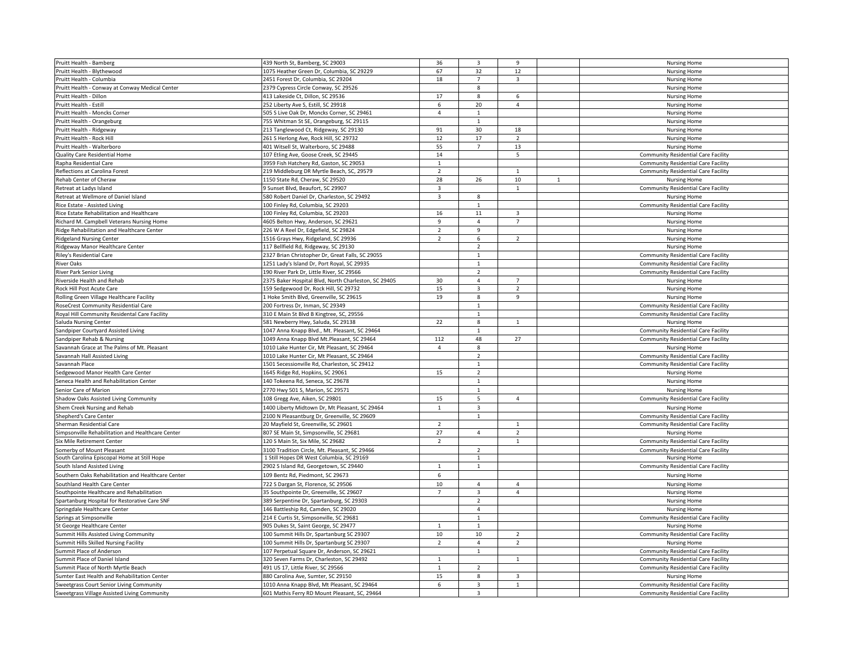|                                                    |                                                      |                         | $\overline{3}$          | $\overline{9}$          |              |                                            |
|----------------------------------------------------|------------------------------------------------------|-------------------------|-------------------------|-------------------------|--------------|--------------------------------------------|
| Pruitt Health - Bamberg                            | 439 North St, Bamberg, SC 29003                      | 36                      |                         |                         |              | <b>Nursing Home</b>                        |
| Pruitt Health - Blythewood                         | 1075 Heather Green Dr, Columbia, SC 29229            | 67                      | 32                      | 12                      |              | Nursing Home                               |
| Pruitt Health - Columbia                           | 2451 Forest Dr, Columbia, SC 29204                   | 18                      | $\overline{7}$          | $\overline{\mathbf{3}}$ |              | <b>Nursing Home</b>                        |
| Pruitt Health - Conway at Conway Medical Center    | 2379 Cypress Circle Conway, SC 29526                 |                         | 8                       |                         |              | Nursing Home                               |
| Pruitt Health - Dillon                             | 413 Lakeside Ct, Dillon, SC 29536                    | 17                      | 8                       | 6                       |              | Nursing Home                               |
| Pruitt Health - Estill                             | 252 Liberty Ave S, Estill, SC 29918                  | 6                       | 20                      | $\overline{4}$          |              | Nursing Home                               |
| Pruitt Health - Moncks Corner                      | 505 S Live Oak Dr, Moncks Corner, SC 29461           | $\overline{4}$          | $\mathbf{1}$            |                         |              | <b>Nursing Home</b>                        |
| Pruitt Health - Orangeburg                         | 755 Whitman St SE, Orangeburg, SC 29115              |                         | $\mathbf{1}$            |                         |              | <b>Nursing Home</b>                        |
| Pruitt Health - Ridgeway                           | 213 Tanglewood Ct, Ridgeway, SC 29130                | 91                      | 30                      | 18                      |              | Nursing Home                               |
| Pruitt Health - Rock Hill                          | 261 S Herlong Ave, Rock Hill, SC 29732               | 12                      | 17                      | $\overline{2}$          |              | Nursing Home                               |
|                                                    | 401 Witsell St, Walterboro, SC 29488                 | 55                      | $\overline{7}$          | 13                      |              |                                            |
| Pruitt Health - Walterboro                         |                                                      |                         |                         |                         |              | <b>Nursing Home</b>                        |
| Quality Care Residential Home                      | 107 Etling Ave, Goose Creek, SC 29445                | 14                      |                         | 5                       |              | <b>Community Residential Care Facility</b> |
| Rapha Residential Care                             | 3959 Fish Hatchery Rd, Gaston, SC 29053              | $\mathbf{1}$            |                         |                         |              | <b>Community Residential Care Facility</b> |
| Reflections at Carolina Forest                     | 219 Middleburg DR Myrtle Beach, SC, 29579            | $\overline{2}$          |                         | $\mathbf{1}$            |              | Community Residential Care Facility        |
| Rehab Center of Cheraw                             | 1150 State Rd, Cheraw, SC 29520                      | 28                      | 26                      | 10                      | $\mathbf{1}$ | Nursing Home                               |
| Retreat at Ladys Island                            | 9 Sunset Blvd, Beaufort, SC 29907                    | $\overline{\mathbf{3}}$ |                         | 1                       |              | <b>Community Residential Care Facility</b> |
| Retreat at Wellmore of Daniel Island               | 580 Robert Daniel Dr, Charleston, SC 29492           | $\overline{\mathbf{3}}$ | 8                       |                         |              | <b>Nursing Home</b>                        |
| Rice Estate - Assisted Living                      | 100 Finley Rd, Columbia, SC 29203                    |                         | $\mathbf{1}$            |                         |              | <b>Community Residential Care Facility</b> |
| Rice Estate Rehabilitation and Healthcare          | 100 Finley Rd, Columbia, SC 29203                    | 16                      | 11                      | 3                       |              | <b>Nursing Home</b>                        |
| Richard M. Campbell Veterans Nursing Home          | 4605 Belton Hwy, Anderson, SC 29621                  | $\mathbf{q}$            | $\overline{4}$          | $\overline{7}$          |              | <b>Nursing Home</b>                        |
| Ridge Rehabilitation and Healthcare Center         | 226 W A Reel Dr, Edgefield, SC 29824                 | $\overline{2}$          | $\overline{9}$          |                         |              | Nursing Home                               |
| <b>Ridgeland Nursing Center</b>                    | 1516 Grays Hwy, Ridgeland, SC 29936                  | $\overline{2}$          | 6                       | 2                       |              | <b>Nursing Home</b>                        |
|                                                    |                                                      |                         | $\overline{2}$          |                         |              |                                            |
| Ridgeway Manor Healthcare Center                   | 117 Bellfield Rd, Ridgeway, SC 29130                 |                         |                         |                         |              | <b>Nursing Home</b>                        |
| Riley's Residential Care                           | 2327 Brian Christopher Dr, Great Falls, SC 29055     |                         | $\mathbf{1}$            |                         |              | <b>Community Residential Care Facility</b> |
| <b>River Oaks</b>                                  | 1251 Lady's Island Dr, Port Royal, SC 29935          |                         | $\mathbf{1}$            |                         |              | <b>Community Residential Care Facility</b> |
| River Park Senior Living                           | 190 River Park Dr, Little River, SC 29566            |                         | $\mathcal{L}$           |                         |              | <b>Community Residential Care Facility</b> |
| Riverside Health and Rehab                         | 2375 Baker Hospital Blvd, North Charleston, SC 29405 | 30                      | $\overline{a}$          | $\overline{7}$          |              | <b>Nursing Home</b>                        |
| Rock Hill Post Acute Care                          | 159 Sedgewood Dr, Rock Hill, SC 29732                | 15                      | 3                       | $\overline{2}$          |              | <b>Nursing Home</b>                        |
| Rolling Green Village Healthcare Facility          | 1 Hoke Smith Blvd, Greenville, SC 29615              | 19                      | 8                       | $\overline{9}$          |              | Nursing Home                               |
| RoseCrest Community Residential Care               | 200 Fortress Dr, Inman, SC 29349                     |                         | $\mathbf 1$             |                         |              | <b>Community Residential Care Facility</b> |
| Royal Hill Community Residental Care Facility      | 310 E Main St Blvd B Kingtree, SC, 29556             |                         | $\mathbf{1}$            |                         |              | <b>Community Residential Care Facility</b> |
| Saluda Nursing Center                              | 581 Newberry Hwy, Saluda, SC 29138                   | 22                      | 8                       | $\mathbf{1}$            |              | <b>Nursing Home</b>                        |
| Sandpiper Courtyard Assisted Living                | 1047 Anna Knapp Blvd., Mt. Pleasant, SC 29464        |                         | $\mathbf{1}$            |                         |              | <b>Community Residential Care Facility</b> |
|                                                    |                                                      |                         |                         |                         |              |                                            |
| Sandpiper Rehab & Nursing                          | 1049 Anna Knapp Blvd Mt.Pleasant, SC 29464           | 112                     | 48                      | 27                      |              | <b>Community Residential Care Facility</b> |
| Savannah Grace at The Palms of Mt. Pleasant        | 1010 Lake Hunter Cir, Mt Pleasant, SC 29464          | $\overline{4}$          | 8                       |                         |              | <b>Nursing Home</b>                        |
| Savannah Hall Assisted Living                      | 1010 Lake Hunter Cir, Mt Pleasant, SC 29464          |                         | $\overline{2}$          |                         |              | <b>Community Residential Care Facility</b> |
| Savannah Place                                     | 1501 Secessionville Rd, Charleston, SC 29412         |                         | 1                       |                         |              | <b>Community Residential Care Facility</b> |
| Sedgewood Manor Health Care Center                 | 1645 Ridge Rd, Hopkins, SC 29061                     | 15                      | $\overline{2}$          |                         |              | <b>Nursing Home</b>                        |
| Seneca Health and Rehabilitation Center            | 140 Tokeena Rd, Seneca, SC 29678                     |                         | $\mathbf{1}$            |                         |              | Nursing Home                               |
| Senior Care of Marion                              | 2770 Hwy 501 S, Marion, SC 29571                     |                         | $\mathbf{1}$            |                         |              | <b>Nursing Home</b>                        |
| Shadow Oaks Assisted Living Community              | 108 Gregg Ave, Aiken, SC 29801                       | 15                      | 5                       | $\overline{4}$          |              | <b>Community Residential Care Facility</b> |
| Shem Creek Nursing and Rehab                       | 1400 Liberty Midtown Dr, Mt Pleasant, SC 29464       | $\mathbf{1}$            | 3                       |                         |              | <b>Nursing Home</b>                        |
|                                                    |                                                      |                         | $\overline{1}$          |                         |              |                                            |
| Shepherd's Care Center                             | 2100 N Pleasantburg Dr, Greenville, SC 29609         |                         |                         |                         |              | <b>Community Residential Care Facility</b> |
| Sherman Residential Care                           | 20 Mayfield St, Greenville, SC 29601                 | $\overline{2}$          |                         | $\mathbf{1}$            |              | <b>Community Residential Care Facility</b> |
| Simpsonville Rehabilitation and Healthcare Center  | 807 SE Main St, Simpsonville, SC 29681               | 27                      | $\overline{4}$          | $\overline{2}$          |              | <b>Nursing Home</b>                        |
| Six Mile Retirement Center                         | 120 S Main St, Six Mile, SC 29682                    | $\overline{2}$          |                         | 1                       |              | <b>Community Residential Care Facility</b> |
| Somerby of Mount Pleasant                          | 3100 Tradition Circle, Mt. Pleasant, SC 29466        |                         | $\overline{2}$          |                         |              | <b>Community Residential Care Facility</b> |
| South Carolina Episcopal Home at Still Hope        | 1 Still Hopes DR West Columbia, SC 29169             |                         | $\mathbf{1}$            |                         |              | <b>Nursing Home</b>                        |
| South Island Assisted Living                       | 2902 S Island Rd, Georgetown, SC 29440               | $\mathbf{1}$            | $\mathbf 1$             |                         |              | <b>Community Residential Care Facility</b> |
| Southern Oaks Rehabilitation and Healthcare Center | 109 Bentz Rd, Piedmont, SC 29673                     | 6                       |                         |                         |              | <b>Nursing Home</b>                        |
| Southland Health Care Center                       | 722 S Dargan St, Florence, SC 29506                  | 10                      | $\overline{4}$          | $\overline{4}$          |              | <b>Nursing Home</b>                        |
| Southpointe Healthcare and Rehabilitation          | 35 Southpointe Dr, Greenville, SC 29607              | $\overline{7}$          | $\overline{\mathbf{3}}$ | $\overline{4}$          |              | <b>Nursing Home</b>                        |
| Spartanburg Hospital for Restorative Care SNF      | 389 Serpentine Dr, Spartanburg, SC 29303             |                         | $\overline{2}$          |                         |              | <b>Nursing Home</b>                        |
|                                                    |                                                      |                         |                         |                         |              |                                            |
| Springdale Healthcare Center                       | 146 Battleship Rd, Camden, SC 29020                  |                         | $\overline{4}$          |                         |              | <b>Nursing Home</b>                        |
| Springs at Simpsonville                            | 214 E Curtis St, Simpsonville, SC 29681              |                         | $\mathbf{1}$            |                         |              | <b>Community Residential Care Facility</b> |
| St George Healthcare Center                        | 905 Dukes St, Saint George, SC 29477                 | $\overline{1}$          | $\overline{1}$          |                         |              | Nursing Home                               |
| Summit Hills Assisted Living Community             | 100 Summit Hills Dr, Spartanburg SC 29307            | 10                      | 10                      | $\overline{2}$          |              | <b>Community Residential Care Facility</b> |
| Summit Hills Skilled Nursing Facility              | 100 Summit Hills Dr, Spartanburg SC 29307            | $\overline{2}$          | $\overline{4}$          | $\overline{2}$          |              | <b>Nursing Home</b>                        |
| Summit Place of Anderson                           | 107 Perpetual Square Dr, Anderson, SC 29621          |                         | $\mathbf{1}$            |                         |              | <b>Community Residential Care Facility</b> |
| Summit Place of Daniel Island                      | 320 Seven Farms Dr, Charleston, SC 29492             | $\mathbf{1}$            |                         | 1                       |              | <b>Community Residential Care Facility</b> |
| Summit Place of North Myrtle Beach                 | 491 US 17, Little River, SC 29566                    | $\overline{1}$          | $\overline{2}$          |                         |              | <b>Community Residential Care Facility</b> |
| Sumter East Health and Rehabilitation Center       | 880 Carolina Ave, Sumter, SC 29150                   | 15                      | 8                       | $\overline{\mathbf{a}}$ |              | <b>Nursing Home</b>                        |
| Sweetgrass Court Senior Living Community           | 1010 Anna Knapp Blvd, Mt Pleasant, SC 29464          | 6                       | $\overline{\mathbf{3}}$ | $\mathbf{1}$            |              | <b>Community Residential Care Facility</b> |
|                                                    | 601 Mathis Ferry RD Mount Pleasant, SC, 29464        |                         | $\overline{\mathbf{a}}$ |                         |              |                                            |
| Sweetgrass Village Assisted Living Community       |                                                      |                         |                         |                         |              | <b>Community Residential Care Facility</b> |